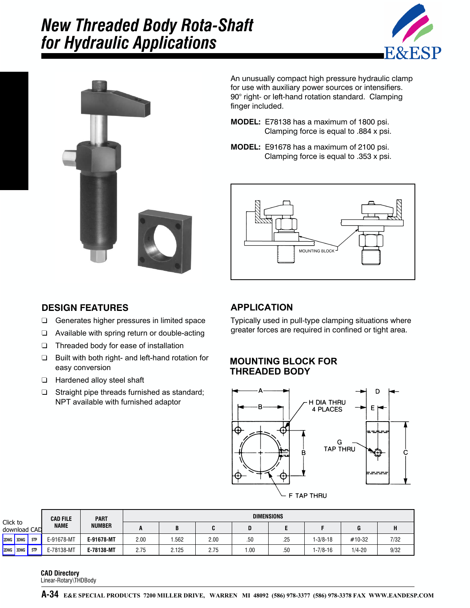# *New Threaded Body Rota-Shaft for Hydraulic Applications*





An unusually compact high pressure hydraulic clamp for use with auxiliary power sources or intensifiers. 90° right- or left-hand rotation standard. Clamping finger included.

- **MODEL:** E78138 has a maximum of 1800 psi. Clamping force is equal to .884 x psi.
- **MODEL:** E91678 has a maximum of 2100 psi. Clamping force is equal to .353 x psi.



## **DESIGN FEATURES**

- ❏ Generates higher pressures in limited space
- ❏ Available with spring return or double-acting
- ❏ Threaded body for ease of installation
- ❏ Built with both right- and left-hand rotation for easy conversion
- ❏ Hardened alloy steel shaft
- ❏ Straight pipe threads furnished as standard; NPT available with furnished adaptor

## **APPLICATION**

Typically used in pull-type clamping situations where greater forces are required in confined or tight area.

#### **MOUNTING BLOCK FOR THREADED BODY**



|                          |     | <b>CAD FILE</b>                               | <b>PART</b> | <b>DIMENSIONS</b> |       |      |      |     |          |            |      |
|--------------------------|-----|-----------------------------------------------|-------------|-------------------|-------|------|------|-----|----------|------------|------|
| Click to<br>download CAD |     | <b>NAME</b>                                   | NUMBER      | A                 | B     | C    | D    |     |          | G          | н    |
| 2DWG 3DWG                | STP | E-91678-MT                                    | E-91678-MT  | 2.00              | 1.562 | 2.00 | .50  | .25 | 1-3/8-18 | #10-32     | 7/32 |
| 2DWG 3DWG                | STP | E-78138-MT                                    | E-78138-MT  | 2.75              | 2.125 | 2.75 | 1.00 | .50 | 1-7/8-16 | $1/4 - 20$ | 9/32 |
|                          |     | <b>CAD Directory</b><br>Linear-Rotary\THDBody |             |                   |       |      |      |     |          |            |      |

#### **CAD Directory**